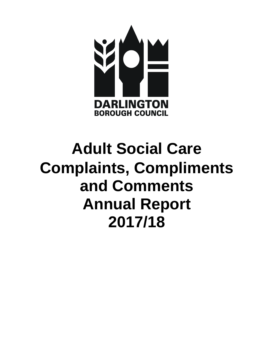

# **Adult Social Care Complaints, Compliments and Comments Annual Report 2017/18**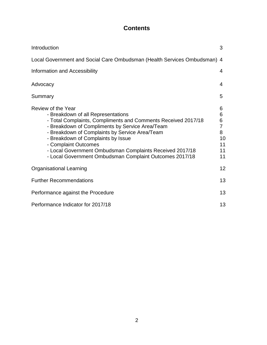# **Contents**

| Introduction                                                                                                                                                                                                                                                                                                                                                                                  | 3                                                          |  |  |  |  |
|-----------------------------------------------------------------------------------------------------------------------------------------------------------------------------------------------------------------------------------------------------------------------------------------------------------------------------------------------------------------------------------------------|------------------------------------------------------------|--|--|--|--|
| Local Government and Social Care Ombudsman (Health Services Ombudsman) 4                                                                                                                                                                                                                                                                                                                      |                                                            |  |  |  |  |
| Information and Accessibility                                                                                                                                                                                                                                                                                                                                                                 | 4                                                          |  |  |  |  |
| Advocacy                                                                                                                                                                                                                                                                                                                                                                                      | 4                                                          |  |  |  |  |
| Summary                                                                                                                                                                                                                                                                                                                                                                                       | 5                                                          |  |  |  |  |
| - Breakdown of all Representations<br>- Total Complaints, Compliments and Comments Received 2017/18<br>- Breakdown of Compliments by Service Area/Team<br>- Breakdown of Complaints by Service Area/Team<br>- Breakdown of Complaints by Issue<br>- Complaint Outcomes<br>- Local Government Ombudsman Complaints Received 2017/18<br>- Local Government Ombudsman Complaint Outcomes 2017/18 | 6<br>6<br>6<br>$\overline{7}$<br>8<br>10<br>11<br>11<br>11 |  |  |  |  |
|                                                                                                                                                                                                                                                                                                                                                                                               | 12                                                         |  |  |  |  |
| Review of the Year<br><b>Organisational Learning</b><br><b>Further Recommendations</b>                                                                                                                                                                                                                                                                                                        |                                                            |  |  |  |  |
| Performance against the Procedure                                                                                                                                                                                                                                                                                                                                                             |                                                            |  |  |  |  |
| Performance Indicator for 2017/18                                                                                                                                                                                                                                                                                                                                                             |                                                            |  |  |  |  |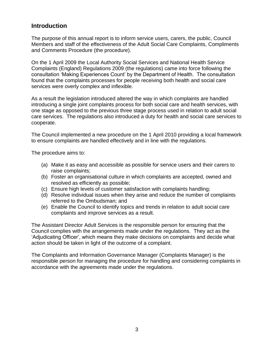# **Introduction**

The purpose of this annual report is to inform service users, carers, the public, Council Members and staff of the effectiveness of the Adult Social Care Complaints, Compliments and Comments Procedure (the procedure).

On the 1 April 2009 the Local Authority Social Services and National Health Service Complaints (England) Regulations 2009 (the regulations) came into force following the consultation 'Making Experiences Count' by the Department of Health. The consultation found that the complaints processes for people receiving both health and social care services were overly complex and inflexible.

As a result the legislation introduced altered the way in which complaints are handled introducing a single joint complaints process for both social care and health services, with one stage as opposed to the previous three stage process used in relation to adult social care services. The regulations also introduced a duty for health and social care services to cooperate.

The Council implemented a new procedure on the 1 April 2010 providing a local framework to ensure complaints are handled effectively and in line with the regulations.

The procedure aims to:

- (a) Make it as easy and accessible as possible for service users and their carers to raise complaints;
- (b) Foster an organisational culture in which complaints are accepted, owned and resolved as efficiently as possible;
- (c) Ensure high levels of customer satisfaction with complaints handling;
- (d) Resolve individual issues when they arise and reduce the number of complaints referred to the Ombudsman; and
- (e) Enable the Council to identify topics and trends in relation to adult social care complaints and improve services as a result.

The Assistant Director Adult Services is the responsible person for ensuring that the Council complies with the arrangements made under the regulations. They act as the 'Adjudicating Officer', which means they make decisions on complaints and decide what action should be taken in light of the outcome of a complaint.

The Complaints and Information Governance Manager (Complaints Manager) is the responsible person for managing the procedure for handling and considering complaints in accordance with the agreements made under the regulations.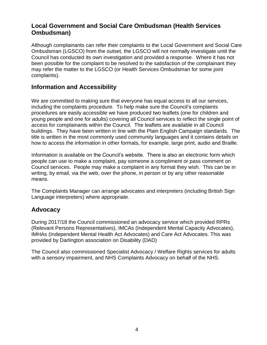# **Local Government and Social Care Ombudsman (Health Services Ombudsman)**

Although complainants can refer their complaints to the Local Government and Social Care Ombudsman (LGSCO) from the outset, the LGSCO will not normally investigate until the Council has conducted its own investigation and provided a response. Where it has not been possible for the complaint to be resolved to the satisfaction of the complainant they may refer the matter to the LGSCO (or Health Services Ombudsman for some joint complaints).

## **Information and Accessibility**

We are committed to making sure that everyone has equal access to all our services, including the complaints procedure. To help make sure the Council's complaints procedures are easily accessible we have produced two leaflets (one for children and young people and one for adults) covering all Council services to reflect the single point of access for complainants within the Council. The leaflets are available in all Council buildings. They have been written in line with the Plain English Campaign standards. The title is written in the most commonly used community languages and it contains details on how to access the information in other formats, for example, large print, audio and Braille.

Information is available on the Council's website. There is also an electronic form which people can use to make a complaint, pay someone a compliment or pass comment on Council services. People may make a complaint in any format they wish. This can be in writing, by email, via the web, over the phone, in person or by any other reasonable means.

The Complaints Manager can arrange advocates and interpreters (including British Sign Language interpreters) where appropriate.

# **Advocacy**

During 2017/18 the Council commissioned an advocacy service which provided RPRs (Relevant Persons Representatives), IMCAs (Independent Mental Capacity Advocates), IMHAs (Independent Mental Health Act Advocates) and Care Act Advocates. This was provided by Darlington association on Disability (DAD)

The Council also commissioned Specialist Advocacy / Welfare Rights services for adults with a sensory impairment, and NHS Complaints Advocacy on behalf of the NHS.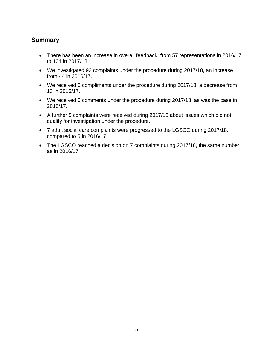## **Summary**

- There has been an increase in overall feedback, from 57 representations in 2016/17 to 104 in 2017/18.
- We investigated 92 complaints under the procedure during 2017/18, an increase from 44 in 2016/17.
- We received 6 compliments under the procedure during 2017/18, a decrease from 13 in 2016/17.
- We received 0 comments under the procedure during 2017/18, as was the case in 2016/17.
- A further 5 complaints were received during 2017/18 about issues which did not qualify for investigation under the procedure.
- 7 adult social care complaints were progressed to the LGSCO during 2017/18, compared to 5 in 2016/17.
- The LGSCO reached a decision on 7 complaints during 2017/18, the same number as in 2016/17.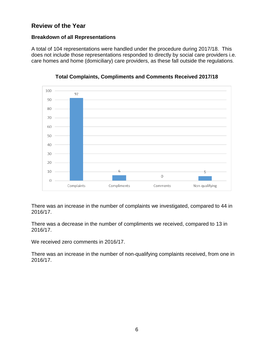# **Review of the Year**

#### **Breakdown of all Representations**

A total of 104 representations were handled under the procedure during 2017/18. This does not include those representations responded to directly by social care providers i.e. care homes and home (domiciliary) care providers, as these fall outside the regulations.



**Total Complaints, Compliments and Comments Received 2017/18**

There was an increase in the number of complaints we investigated, compared to 44 in 2016/17.

There was a decrease in the number of compliments we received, compared to 13 in 2016/17.

We received zero comments in 2016/17.

There was an increase in the number of non-qualifying complaints received, from one in 2016/17.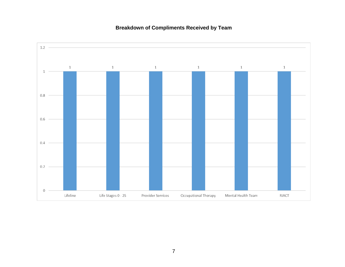# **Breakdown of Compliments Received by Team**

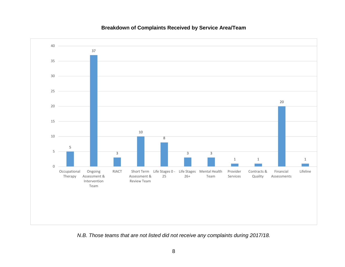#### 5 37 3 10 8 3 3 1 1 20 1 0 5 10 15 20 25 30 35 40 Occupational Therapy Ongoing Assessment & Intervention Team RIACT Short Term Life Stages 0 - Life Stages Mental Health Assessment & Review Team 25 26+ Team Provider Services Contracts & Quality Financial Assessments Lifeline

#### **Breakdown of Complaints Received by Service Area/Team**

*N.B. Those teams that are not listed did not receive any complaints during 2017/18.*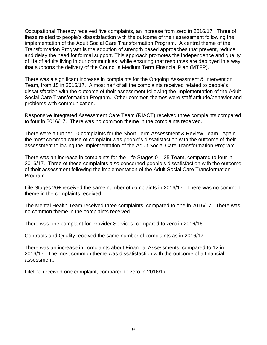Occupational Therapy received five complaints, an increase from zero in 2016/17. Three of these related to people's dissatisfaction with the outcome of their assessment following the implementation of the Adult Social Care Transformation Program. A central theme of the Transformation Program is the adoption of strength based approaches that prevent, reduce and delay the need for formal support. This approach promotes the independence and quality of life of adults living in our communities, while ensuring that resources are deployed in a way that supports the delivery of the Council's Medium Term Financial Plan (MTFP).

There was a significant increase in complaints for the Ongoing Assessment & Intervention Team, from 15 in 2016/17. Almost half of all the complaints received related to people's dissatisfaction with the outcome of their assessment following the implementation of the Adult Social Care Transformation Program. Other common themes were staff attitude/behavior and problems with communication.

Responsive Integrated Assessment Care Team (RIACT) received three complaints compared to four in 2016/17. There was no common theme in the complaints received.

There were a further 10 complaints for the Short Term Assessment & Review Team. Again the most common cause of complaint was people's dissatisfaction with the outcome of their assessment following the implementation of the Adult Social Care Transformation Program.

There was an increase in complaints for the Life Stages 0 – 25 Team, compared to four in 2016/17. Three of these complaints also concerned people's dissatisfaction with the outcome of their assessment following the implementation of the Adult Social Care Transformation Program.

Life Stages 26+ received the same number of complaints in 2016/17. There was no common theme in the complaints received.

The Mental Health Team received three complaints, compared to one in 2016/17. There was no common theme in the complaints received.

There was one complaint for Provider Services, compared to zero in 2016/16.

Contracts and Quality received the same number of complaints as in 2016/17.

There was an increase in complaints about Financial Assessments, compared to 12 in 2016/17. The most common theme was dissatisfaction with the outcome of a financial assessment.

Lifeline received one complaint, compared to zero in 2016/17.

.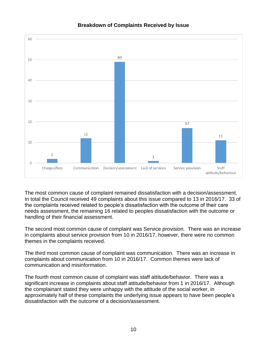

#### **Breakdown of Complaints Received by Issue**

The most common cause of complaint remained dissatisfaction with a decision/assessment. In total the Council received 49 complaints about this issue compared to 13 in 2016/17. 33 of the complaints received related to people's dissatisfaction with the outcome of their care needs assessment, the remaining 16 related to peoples dissatisfaction with the outcome or handling of their financial assessment.

The second most common cause of complaint was Service provision. There was an increase in complaints about service provision from 10 in 2016/17, however, there were no common themes in the complaints received.

The third most common cause of complaint was communication. There was an increase in complaints about communication from 10 in 2016/17. Common themes were lack of communication and misinformation.

The fourth most common cause of complaint was staff attitude/behavior. There was a significant increase in complaints about staff attitude/behavior from 1 in 2016/17. Although the complainant stated they were unhappy with the attitude of the social worker, in approximately half of these complaints the underlying issue appears to have been people's dissatisfaction with the outcome of a decision/assessment.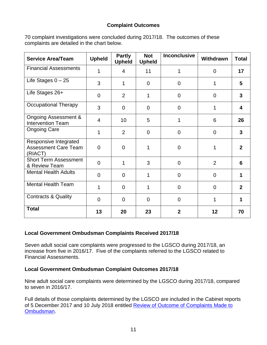#### **Complaint Outcomes**

70 complaint investigations were concluded during 2017/18. The outcomes of these complaints are detailed in the chart below.

| <b>Service Area/Team</b>                                        | <b>Upheld</b>  | <b>Partly</b><br><b>Upheld</b> | <b>Not</b><br><b>Upheld</b> | <b>Inconclusive</b> | Withdrawn      | <b>Total</b>   |
|-----------------------------------------------------------------|----------------|--------------------------------|-----------------------------|---------------------|----------------|----------------|
| <b>Financial Assessments</b>                                    | 1              | 4                              | 11                          | 1                   | $\overline{0}$ | 17             |
| Life Stages $0 - 25$                                            | 3              | $\mathbf{1}$                   | $\mathbf 0$                 | $\overline{0}$      | 1              | 5              |
| Life Stages 26+                                                 | $\overline{0}$ | $\overline{2}$                 | 1                           | $\overline{0}$      | $\Omega$       | $\mathbf{3}$   |
| <b>Occupational Therapy</b>                                     | 3              | $\overline{0}$                 | 0                           | $\Omega$            | 1              | 4              |
| <b>Ongoing Assessment &amp;</b><br><b>Intervention Team</b>     | 4              | 10                             | 5                           | 1                   | 6              | 26             |
| <b>Ongoing Care</b>                                             | 1              | $\overline{2}$                 | $\overline{0}$              | $\overline{0}$      | $\overline{0}$ | 3              |
| Responsive Integrated<br><b>Assessment Care Team</b><br>(RIACT) | 0              | $\overline{0}$                 |                             | $\overline{0}$      | 1              | $\mathbf{2}$   |
| <b>Short Term Assessment</b><br>& Review Team                   | $\overline{0}$ | 1                              | 3                           | $\Omega$            | $\overline{2}$ | 6              |
| <b>Mental Health Adults</b>                                     | $\overline{0}$ | $\overline{0}$                 | 1                           | $\overline{0}$      | $\overline{0}$ | 1              |
| <b>Mental Health Team</b>                                       | 1              | $\overline{0}$                 | 1                           | $\overline{0}$      | $\Omega$       | $\overline{2}$ |
| <b>Contracts &amp; Quality</b>                                  | $\overline{0}$ | $\overline{0}$                 | $\Omega$                    | $\overline{0}$      | 1              | 1              |
| <b>Total</b>                                                    | 13             | 20                             | 23                          | $\overline{2}$      | 12             | 70             |

#### **Local Government Ombudsman Complaints Received 2017/18**

Seven adult social care complaints were progressed to the LGSCO during 2017/18, an increase from five in 2016/17. Five of the complaints referred to the LGSCO related to Financial Assessments.

#### **Local Government Ombudsman Complaint Outcomes 2017/18**

Nine adult social care complaints were determined by the LGSCO during 2017/18, compared to seven in 2016/17.

Full details of those complaints determined by the LGSCO are included in the Cabinet reports of 5 December 2017 and 10 July 2018 entitled [Review of Outcome of Complaints Made to](http://www.darlington.gov.uk/your-council/democracy/meetings-list/)  [Ombudsman.](http://www.darlington.gov.uk/your-council/democracy/meetings-list/)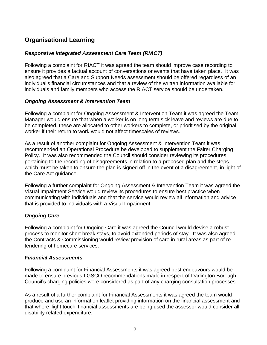# **Organisational Learning**

#### *Responsive Integrated Assessment Care Team (RIACT)*

Following a complaint for RIACT it was agreed the team should improve case recording to ensure it provides a factual account of conversations or events that have taken place. It was also agreed that a Care and Support Needs assessment should be offered regardless of an individual's financial circumstances and that a review of the written information available for individuals and family members who access the RIACT service should be undertaken.

#### *Ongoing Assessment & Intervention Team*

Following a complaint for Ongoing Assessment & Intervention Team it was agreed the Team Manager would ensure that when a worker is on long term sick leave and reviews are due to be completed, these are allocated to other workers to complete, or prioritised by the original worker if their return to work would not affect timescales of reviews.

As a result of another complaint for Ongoing Assessment & Intervention Team it was recommended an Operational Procedure be developed to supplement the Fairer Charging Policy. It was also recommended the Council should consider reviewing its procedures pertaining to the recording of disagreements in relation to a proposed plan and the steps which must be taken to ensure the plan is signed off in the event of a disagreement, in light of the Care Act guidance.

Following a further complaint for Ongoing Assessment & Intervention Team it was agreed the Visual Impairment Service would review its procedures to ensure best practice when communicating with individuals and that the service would review all information and advice that is provided to individuals with a Visual Impairment.

#### *Ongoing Care*

Following a complaint for Ongoing Care it was agreed the Council would devise a robust process to monitor short break stays, to avoid extended periods of stay. It was also agreed the Contracts & Commissioning would review provision of care in rural areas as part of retendering of homecare services.

#### *Financial Assessments*

Following a complaint for Financial Assessments it was agreed best endeavours would be made to ensure previous LGSCO recommendations made in respect of Darlington Borough Council's charging policies were considered as part of any charging consultation processes.

As a result of a further complaint for Financial Assessments it was agreed the team would produce and use an information leaflet providing information on the financial assessment and that where 'light touch' financial assessments are being used the assessor would consider all disability related expenditure.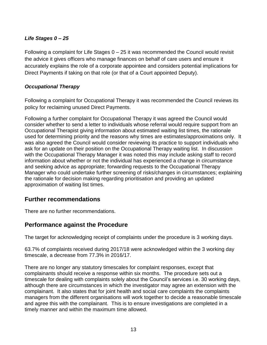#### *Life Stages 0 – 25*

Following a complaint for Life Stages  $0 - 25$  it was recommended the Council would revisit the advice it gives officers who manage finances on behalf of care users and ensure it accurately explains the role of a corporate appointee and considers potential implications for Direct Payments if taking on that role (or that of a Court appointed Deputy).

#### *Occupational Therapy*

Following a complaint for Occupational Therapy it was recommended the Council reviews its policy for reclaiming unused Direct Payments.

Following a further complaint for Occupational Therapy it was agreed the Council would consider whether to send a letter to individuals whose referral would require support from an Occupational Therapist giving information about estimated waiting list times, the rationale used for determining priority and the reasons why times are estimates/approximations only. It was also agreed the Council would consider reviewing its practice to support individuals who ask for an update on their position on the Occupational Therapy waiting list. In discussion with the Occupational Therapy Manager it was noted this may include asking staff to record information about whether or not the individual has experienced a change in circumstance and seeking advice as appropriate; forwarding requests to the Occupational Therapy Manager who could undertake further screening of risks/changes in circumstances; explaining the rationale for decision making regarding prioritisation and providing an updated approximation of waiting list times.

# **Further recommendations**

There are no further recommendations.

# **Performance against the Procedure**

The target for acknowledging receipt of complaints under the procedure is 3 working days.

63.7% of complaints received during 2017/18 were acknowledged within the 3 working day timescale, a decrease from 77.3% in 2016/17.

There are no longer any statutory timescales for complaint responses, except that complainants should receive a response within six months. The procedure sets out a timescale for dealing with complaints solely about the Council's services i.e. 30 working days, although there are circumstances in which the investigator may agree an extension with the complainant. It also states that for joint health and social care complaints the complaints managers from the different organisations will work together to decide a reasonable timescale and agree this with the complainant. This is to ensure investigations are completed in a timely manner and within the maximum time allowed.